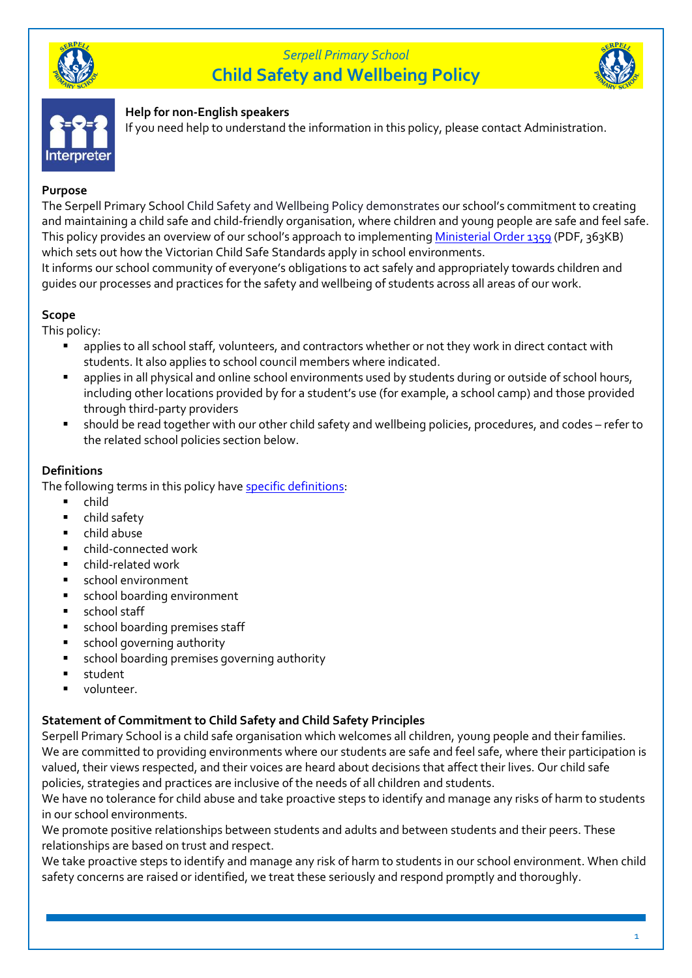





#### **Help for non-English speakers**

If you need help to understand the information in this policy, please contact Administration.

#### **Purpose**

The Serpell Primary School Child Safety and Wellbeing Policy demonstrates our school's commitment to creating and maintaining a child safe and child-friendly organisation, where children and young people are safe and feel safe. This policy provides an overview of our school's approach to implementing [Ministerial Order 1359](https://www.education.vic.gov.au/Documents/about/programs/health/protect/Ministerial_Order.pdf) (PDF, 363KB) which sets out how the Victorian Child Safe Standards apply in school environments.

It informs our school community of everyone's obligations to act safely and appropriately towards children and guides our processes and practices for the safety and wellbeing of students across all areas of our work.

#### **Scope**

This policy:

- applies to all school staff, volunteers, and contractors whether or not they work in direct contact with students. It also applies to school council members where indicated.
- applies in all physical and online school environments used by students during or outside of school hours, including other locations provided by for a student's use (for example, a school camp) and those provided through third-party providers
- should be read together with our other child safety and wellbeing policies, procedures, and codes refer to the related school policies section below.

### **Definitions**

The following terms in this policy have specific definitions.

- child
- child safety
- child abuse
- child-connected work
- child-related work
- school environment
- school boarding environment
- school staff
- school boarding premises staff
- school governing authority
- school boarding premises governing authority
- student
- volunteer.

### **Statement of Commitment to Child Safety and Child Safety Principles**

Serpell Primary School is a child safe organisation which welcomes all children, young people and their families. We are committed to providing environments where our students are safe and feel safe, where their participation is valued, their views respected, and their voices are heard about decisions that affect their lives. Our child safe policies, strategies and practices are inclusive of the needs of all children and students.

We have no tolerance for child abuse and take proactive steps to identify and manage any risks of harm to students in our school environments.

We promote positive relationships between students and adults and between students and their peers. These relationships are based on trust and respect.

We take proactive steps to identify and manage any risk of harm to students in our school environment. When child safety concerns are raised or identified, we treat these seriously and respond promptly and thoroughly.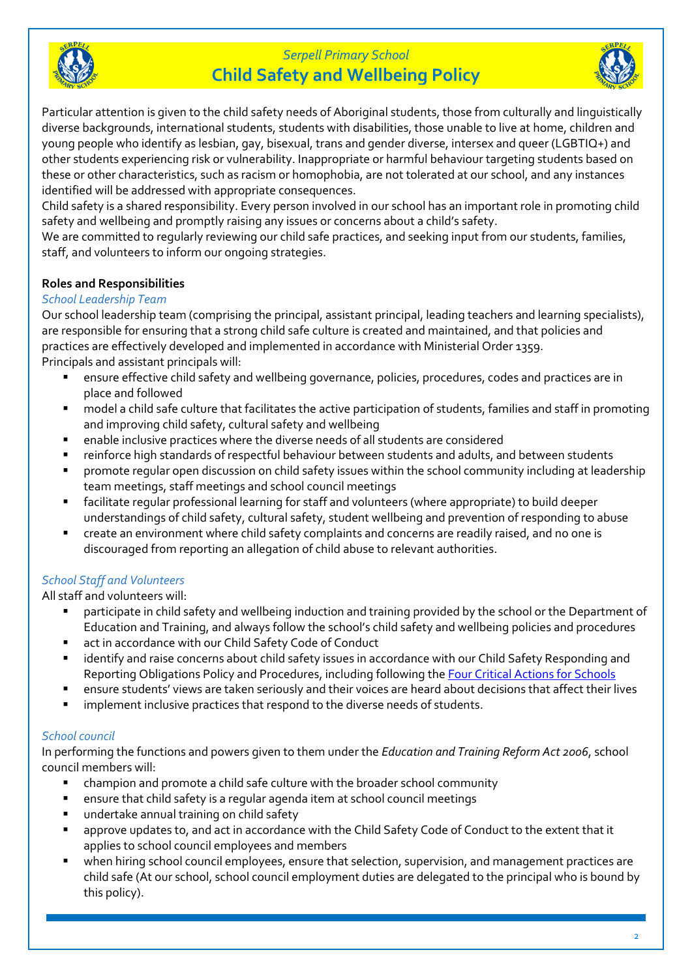



Particular attention is given to the child safety needs of Aboriginal students, those from culturally and linguistically diverse backgrounds, international students, students with disabilities, those unable to live at home, children and young people who identify as lesbian, gay, bisexual, trans and gender diverse, intersex and queer (LGBTIQ+) and other students experiencing risk or vulnerability. Inappropriate or harmful behaviour targeting students based on these or other characteristics, such as racism or homophobia, are not tolerated at our school, and any instances identified will be addressed with appropriate consequences.

Child safety is a shared responsibility. Every person involved in our school has an important role in promoting child safety and wellbeing and promptly raising any issues or concerns about a child's safety.

We are committed to regularly reviewing our child safe practices, and seeking input from our students, families, staff, and volunteers to inform our ongoing strategies.

### **Roles and Responsibilities**

### *School Leadership Team*

Our school leadership team (comprising the principal, assistant principal, leading teachers and learning specialists), are responsible for ensuring that a strong child safe culture is created and maintained, and that policies and practices are effectively developed and implemented in accordance with Ministerial Order 1359. Principals and assistant principals will:

- ensure effective child safety and wellbeing governance, policies, procedures, codes and practices are in place and followed
- model a child safe culture that facilitates the active participation of students, families and staff in promoting and improving child safety, cultural safety and wellbeing
- enable inclusive practices where the diverse needs of all students are considered
- reinforce high standards of respectful behaviour between students and adults, and between students
- promote regular open discussion on child safety issues within the school community including at leadership team meetings, staff meetings and school council meetings
- facilitate regular professional learning for staff and volunteers (where appropriate) to build deeper understandings of child safety, cultural safety, student wellbeing and prevention of responding to abuse
- create an environment where child safety complaints and concerns are readily raised, and no one is discouraged from reporting an allegation of child abuse to relevant authorities.

## *School Staff and Volunteers*

All staff and volunteers will:

- participate in child safety and wellbeing induction and training provided by the school or the Department of Education and Training, and always follow the school's child safety and wellbeing policies and procedures
- act in accordance with our Child Safety Code of Conduct
- identify and raise concerns about child safety issues in accordance with our Child Safety Responding and Reporting Obligations Policy and Procedures, including following th[e Four Critical Actions for Schools](https://www.education.vic.gov.au/school/teachers/health/childprotection/Pages/report.aspx)
- ensure students' views are taken seriously and their voices are heard about decisions that affect their lives
- implement inclusive practices that respond to the diverse needs of students.

### *School council*

In performing the functions and powers given to them under the *Education and Training Reform Act 2006*, school council members will:

- champion and promote a child safe culture with the broader school community
- ensure that child safety is a regular agenda item at school council meetings
- undertake annual training on child safety
- approve updates to, and act in accordance with the Child Safety Code of Conduct to the extent that it applies to school council employees and members
- when hiring school council employees, ensure that selection, supervision, and management practices are child safe (At our school, school council employment duties are delegated to the principal who is bound by this policy).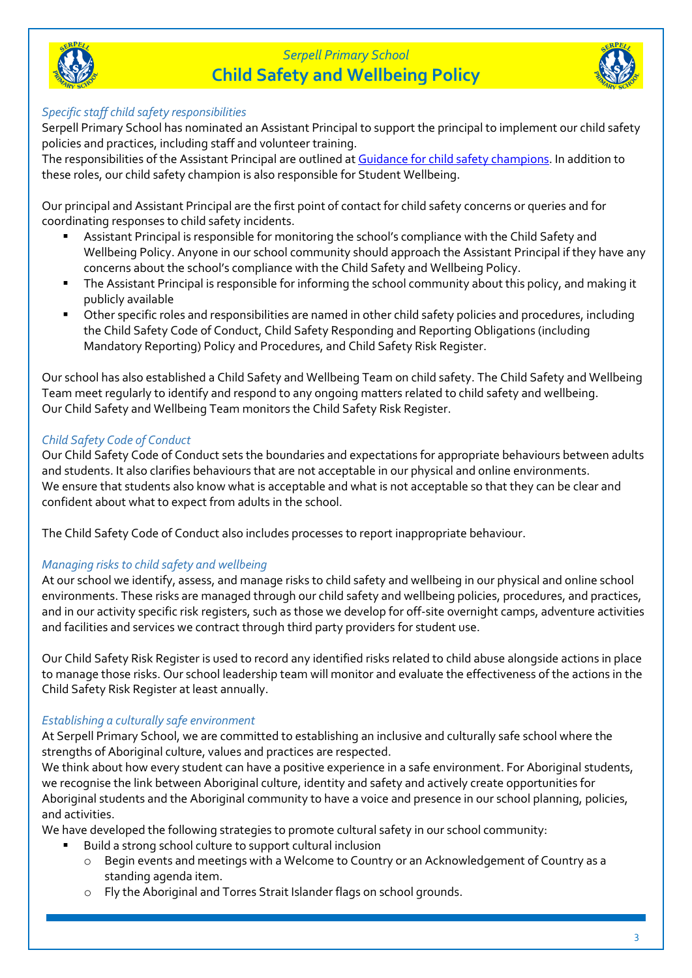



### *Specific staff child safety responsibilities*

Serpell Primary School has nominated an Assistant Principal to support the principal to implement our child safety policies and practices, including staff and volunteer training.

The responsibilities of the Assistant Principal are outlined a[t Guidance for child safety champions.](https://www.vic.gov.au/guidance-child-safety-champions) In addition to these roles, our child safety champion is also responsible for Student Wellbeing.

Our principal and Assistant Principal are the first point of contact for child safety concerns or queries and for coordinating responses to child safety incidents.

- Assistant Principal is responsible for monitoring the school's compliance with the Child Safety and Wellbeing Policy. Anyone in our school community should approach the Assistant Principal if they have any concerns about the school's compliance with the Child Safety and Wellbeing Policy.
- The Assistant Principal is responsible for informing the school community about this policy, and making it publicly available
- Other specific roles and responsibilities are named in other child safety policies and procedures, including the Child Safety Code of Conduct, Child Safety Responding and Reporting Obligations (including Mandatory Reporting) Policy and Procedures, and Child Safety Risk Register.

Our school has also established a Child Safety and Wellbeing Team on child safety. The Child Safety and Wellbeing Team meet regularly to identify and respond to any ongoing matters related to child safety and wellbeing. Our Child Safety and Wellbeing Team monitors the Child Safety Risk Register.

### *Child Safety Code of Conduct*

Our Child Safety Code of Conduct sets the boundaries and expectations for appropriate behaviours between adults and students. It also clarifies behaviours that are not acceptable in our physical and online environments. We ensure that students also know what is acceptable and what is not acceptable so that they can be clear and confident about what to expect from adults in the school.

The Child Safety Code of Conduct also includes processes to report inappropriate behaviour.

### *Managing risks to child safety and wellbeing*

At our school we identify, assess, and manage risks to child safety and wellbeing in our physical and online school environments. These risks are managed through our child safety and wellbeing policies, procedures, and practices, and in our activity specific risk registers, such as those we develop for off-site overnight camps, adventure activities and facilities and services we contract through third party providers for student use.

Our Child Safety Risk Register is used to record any identified risks related to child abuse alongside actions in place to manage those risks. Our school leadership team will monitor and evaluate the effectiveness of the actions in the Child Safety Risk Register at least annually.

### *Establishing a culturally safe environment*

At Serpell Primary School, we are committed to establishing an inclusive and culturally safe school where the strengths of Aboriginal culture, values and practices are respected.

We think about how every student can have a positive experience in a safe environment. For Aboriginal students, we recognise the link between Aboriginal culture, identity and safety and actively create opportunities for Aboriginal students and the Aboriginal community to have a voice and presence in our school planning, policies, and activities.

We have developed the following strategies to promote cultural safety in our school community:

- Build a strong school culture to support cultural inclusion
	- o Begin events and meetings with a Welcome to Country or an Acknowledgement of Country as a standing agenda item.
	- o Fly the Aboriginal and Torres Strait Islander flags on school grounds.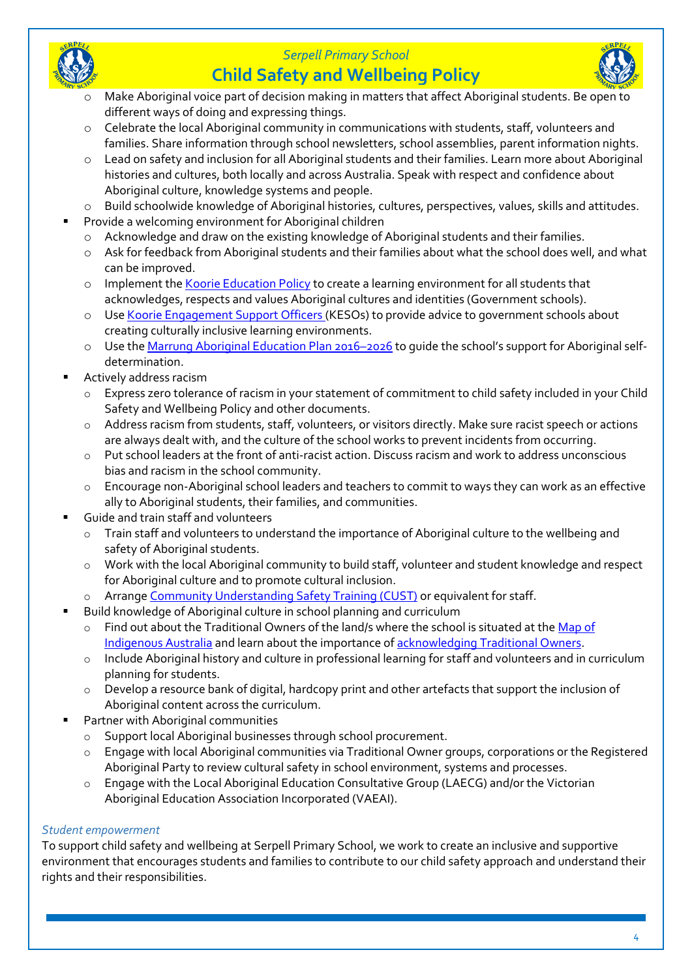



# **Child Safety and Wellbeing Policy**



- Make Aboriginal voice part of decision making in matters that affect Aboriginal students. Be open to different ways of doing and expressing things.
- o Celebrate the local Aboriginal community in communications with students, staff, volunteers and families. Share information through school newsletters, school assemblies, parent information nights.
- o Lead on safety and inclusion for all Aboriginal students and their families. Learn more about Aboriginal histories and cultures, both locally and across Australia. Speak with respect and confidence about Aboriginal culture, knowledge systems and people.
- o Build schoolwide knowledge of Aboriginal histories, cultures, perspectives, values, skills and attitudes.
- Provide a welcoming environment for Aboriginal children
	- $\circ$  Acknowledge and draw on the existing knowledge of Aboriginal students and their families.
	- o Ask for feedback from Aboriginal students and their families about what the school does well, and what can be improved.
	- o Implement the [Koorie Education](https://www2.education.vic.gov.au/pal/koorie-education/policy) Policy to create a learning environment for all students that acknowledges, respects and values Aboriginal cultures and identities (Government schools).
	- o Use [Koorie Engagement Support Officers](https://www.vic.gov.au/koorie-education-coordinator-contact-details) (KESOs) to provide advice to government schools about creating culturally inclusive learning environments.
	- o Use the [Marrung Aboriginal Education Plan 2016](https://www.vic.gov.au/marrung)–2026 to guide the school's support for Aboriginal selfdetermination.
- Actively address racism
	- o Express zero tolerance of racism in your statement of commitment to child safety included in your Child Safety and Wellbeing Policy and other documents.
	- o Address racism from students, staff, volunteers, or visitors directly. Make sure racist speech or actions are always dealt with, and the culture of the school works to prevent incidents from occurring.
	- o Put school leaders at the front of anti-racist action. Discuss racism and work to address unconscious bias and racism in the school community.
	- o Encourage non-Aboriginal school leaders and teachers to commit to ways they can work as an effective ally to Aboriginal students, their families, and communities.
- Guide and train staff and volunteers
	- o Train staff and volunteers to understand the importance of Aboriginal culture to the wellbeing and safety of Aboriginal students.
	- o Work with the local Aboriginal community to build staff, volunteer and student knowledge and respect for Aboriginal culture and to promote cultural inclusion.
	- o Arrange [Community Understanding Safety Training](https://www.vaeai.org.au/community-understanding-safety-training-online-information-session/) (CUST) or equivalent for staff.
- Build knowledge of Aboriginal culture in school planning and curriculum
	- Find out about the Traditional Owners of the land/s where the school is situated at the Map of [Indigenous](https://aiatsis.gov.au/explore/map-indigenous-australia) Australia and learn about the importance of [acknowledging Traditional](https://www.indigenous.gov.au/contact-us/welcome_acknowledgement-country) Owners.
	- o Include Aboriginal history and culture in professional learning for staff and volunteers and in curriculum planning for students.
	- o Develop a resource bank of digital, hardcopy print and other artefacts that support the inclusion of Aboriginal content across the curriculum.
- **Partner with Aboriginal communities** 
	- o Support local Aboriginal businesses through school procurement.
	- Engage with local Aboriginal communities via Traditional Owner groups, corporations or the Registered Aboriginal Party to review cultural safety in school environment, systems and processes.
	- o Engage with the Local Aboriginal Education Consultative Group (LAECG) and/or the Victorian Aboriginal Education Association Incorporated (VAEAI).

### *Student empowerment*

To support child safety and wellbeing at Serpell Primary School, we work to create an inclusive and supportive environment that encourages students and families to contribute to our child safety approach and understand their rights and their responsibilities.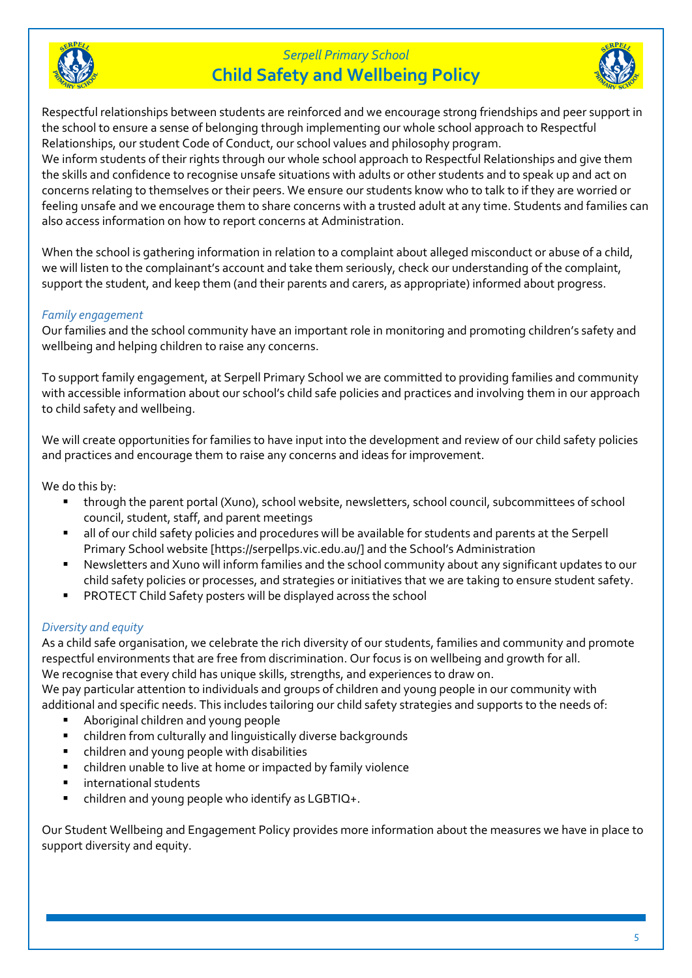



Respectful relationships between students are reinforced and we encourage strong friendships and peer support in the school to ensure a sense of belonging through implementing our whole school approach to Respectful Relationships, our student Code of Conduct, our school values and philosophy program.

We inform students of their rights through our whole school approach to Respectful Relationships and give them the skills and confidence to recognise unsafe situations with adults or other students and to speak up and act on concerns relating to themselves or their peers. We ensure our students know who to talk to if they are worried or feeling unsafe and we encourage them to share concerns with a trusted adult at any time. Students and families can also access information on how to report concerns at Administration.

When the school is gathering information in relation to a complaint about alleged misconduct or abuse of a child, we will listen to the complainant's account and take them seriously, check our understanding of the complaint, support the student, and keep them (and their parents and carers, as appropriate) informed about progress.

### *Family engagement*

Our families and the school community have an important role in monitoring and promoting children's safety and wellbeing and helping children to raise any concerns.

To support family engagement, at Serpell Primary School we are committed to providing families and community with accessible information about our school's child safe policies and practices and involving them in our approach to child safety and wellbeing.

We will create opportunities for families to have input into the development and review of our child safety policies and practices and encourage them to raise any concerns and ideas for improvement.

We do this by:

- through the parent portal (Xuno), school website, newsletters, school council, subcommittees of school council, student, staff, and parent meetings
- all of our child safety policies and procedures will be available for students and parents at the Serpell Primary School website [https://serpellps.vic.edu.au/] and the School's Administration
- Newsletters and Xuno will inform families and the school community about any significant updates to our child safety policies or processes, and strategies or initiatives that we are taking to ensure student safety.
- **PROTECT Child Safety posters will be displayed across the school**

#### *Diversity and equity*

As a child safe organisation, we celebrate the rich diversity of our students, families and community and promote respectful environments that are free from discrimination. Our focus is on wellbeing and growth for all. We recognise that every child has unique skills, strengths, and experiences to draw on. We pay particular attention to individuals and groups of children and young people in our community with additional and specific needs. This includes tailoring our child safety strategies and supports to the needs of:

- Aboriginal children and young people
- children from culturally and linguistically diverse backgrounds
- children and young people with disabilities
- children unable to live at home or impacted by family violence
- international students
- children and young people who identify as  $LGBTIO+$ .

Our Student Wellbeing and Engagement Policy provides more information about the measures we have in place to support diversity and equity.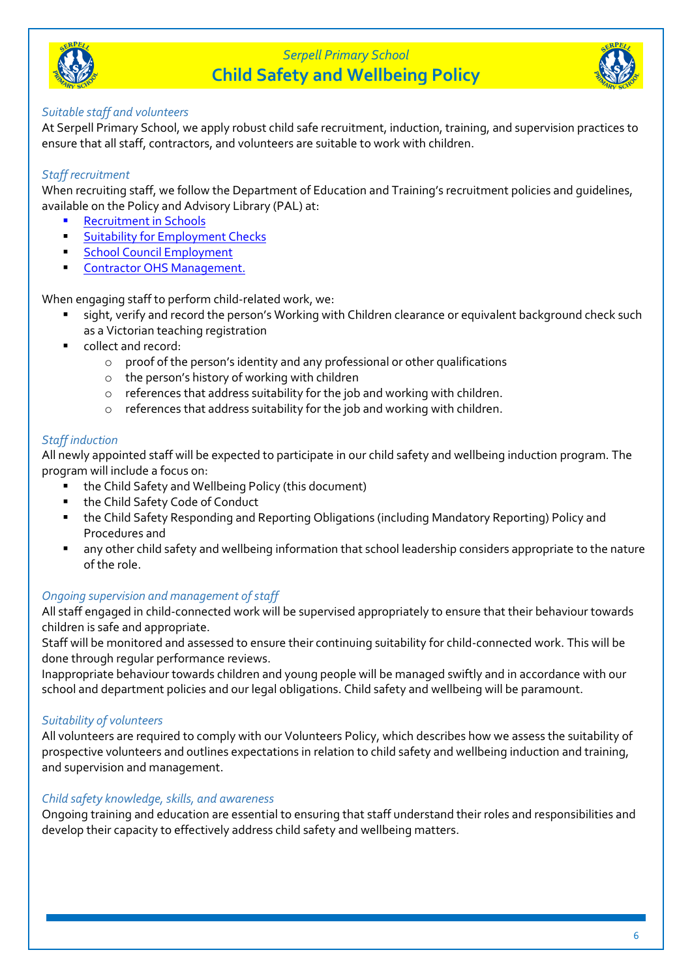



### *Suitable staff and volunteers*

At Serpell Primary School, we apply robust child safe recruitment, induction, training, and supervision practices to ensure that all staff, contractors, and volunteers are suitable to work with children.

### *Staff recruitment*

When recruiting staff, we follow the Department of Education and Training's recruitment policies and guidelines, available on the Policy and Advisory Library (PAL) at:

- **[Recruitment in Schools](https://www2.education.vic.gov.au/pal/recruitment-schools/overview)**
- **E.** [Suitability for Employment Checks](https://www2.education.vic.gov.au/pal/suitability-employment-checks/overview)
- **Exercise [School Council Employment](https://www2.education.vic.gov.au/pal/school-council-employment/overview)**
- **[Contractor OHS Management.](https://www2.education.vic.gov.au/pal/contractor-ohs-management/policy)**

When engaging staff to perform child-related work, we:

- sight, verify and record the person's Working with Children clearance or equivalent background check such as a Victorian teaching registration
- collect and record:
	- o proof of the person's identity and any professional or other qualifications
	- o the person's history of working with children
	- o references that address suitability for the job and working with children.
	- o references that address suitability for the job and working with children.

#### *Staff induction*

All newly appointed staff will be expected to participate in our child safety and wellbeing induction program. The program will include a focus on:

- the Child Safety and Wellbeing Policy (this document)
- the Child Safety Code of Conduct
- the Child Safety Responding and Reporting Obligations (including Mandatory Reporting) Policy and Procedures and
- any other child safety and wellbeing information that school leadership considers appropriate to the nature of the role.

### *Ongoing supervision and management of staff*

All staff engaged in child-connected work will be supervised appropriately to ensure that their behaviour towards children is safe and appropriate.

Staff will be monitored and assessed to ensure their continuing suitability for child-connected work. This will be done through regular performance reviews.

Inappropriate behaviour towards children and young people will be managed swiftly and in accordance with our school and department policies and our legal obligations. Child safety and wellbeing will be paramount.

### *Suitability of volunteers*

All volunteers are required to comply with our Volunteers Policy, which describes how we assess the suitability of prospective volunteers and outlines expectations in relation to child safety and wellbeing induction and training, and supervision and management.

#### *Child safety knowledge, skills, and awareness*

Ongoing training and education are essential to ensuring that staff understand their roles and responsibilities and develop their capacity to effectively address child safety and wellbeing matters.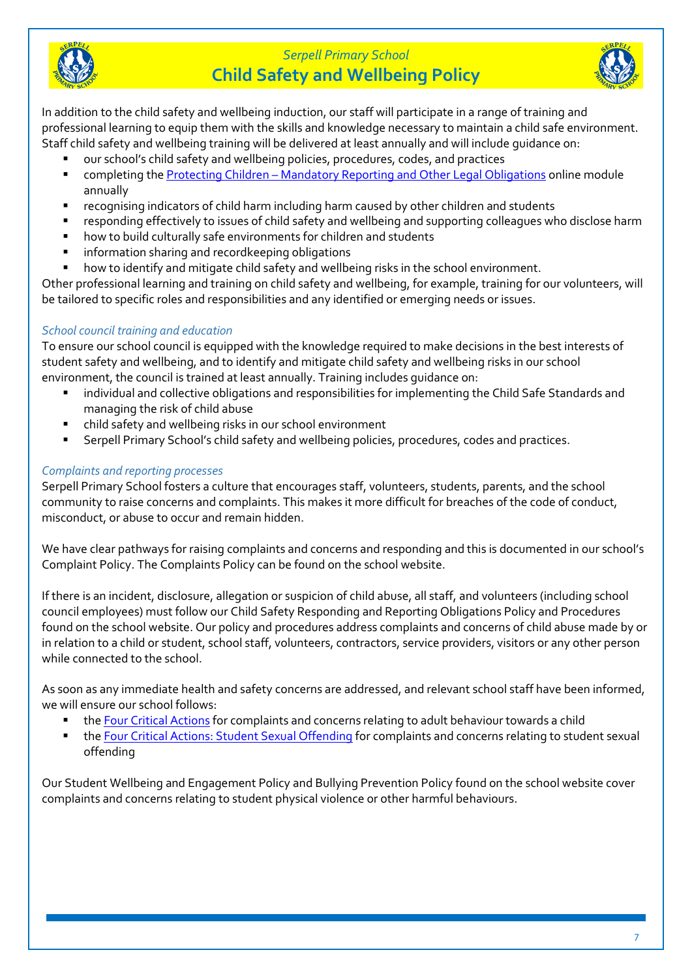



In addition to the child safety and wellbeing induction, our staff will participate in a range of training and professional learning to equip them with the skills and knowledge necessary to maintain a child safe environment. Staff child safety and wellbeing training will be delivered at least annually and will include guidance on:

- our school's child safety and wellbeing policies, procedures, codes, and practices
- completing the Protecting Children [Mandatory Reporting and Other](http://elearn.com.au/det/protectingchildren/) Legal Obligations online module annually
- recognising indicators of child harm including harm caused by other children and students
- responding effectively to issues of child safety and wellbeing and supporting colleagues who disclose harm
- how to build culturally safe environments for children and students
- information sharing and recordkeeping obligations
- how to identify and mitigate child safety and wellbeing risks in the school environment.

Other professional learning and training on child safety and wellbeing, for example, training for our volunteers, will be tailored to specific roles and responsibilities and any identified or emerging needs or issues.

## *School council training and education*

To ensure our school council is equipped with the knowledge required to make decisions in the best interests of student safety and wellbeing, and to identify and mitigate child safety and wellbeing risks in our school environment, the council is trained at least annually. Training includes guidance on:

- individual and collective obligations and responsibilities for implementing the Child Safe Standards and managing the risk of child abuse
- child safety and wellbeing risks in our school environment
- Serpell Primary School's child safety and wellbeing policies, procedures, codes and practices.

## *Complaints and reporting processes*

Serpell Primary School fosters a culture that encourages staff, volunteers, students, parents, and the school community to raise concerns and complaints. This makes it more difficult for breaches of the code of conduct, misconduct, or abuse to occur and remain hidden.

We have clear pathways for raising complaints and concerns and responding and this is documented in our school's Complaint Policy. The Complaints Policy can be found on the school website.

If there is an incident, disclosure, allegation or suspicion of child abuse, all staff, and volunteers (including school council employees) must follow our Child Safety Responding and Reporting Obligations Policy and Procedures found on the school website. Our policy and procedures address complaints and concerns of child abuse made by or in relation to a child or student, school staff, volunteers, contractors, service providers, visitors or any other person while connected to the school.

As soon as any immediate health and safety concerns are addressed, and relevant school staff have been informed, we will ensure our school follows:

- th[e Four Critical Actions](https://www.education.vic.gov.au/Documents/about/programs/health/protect/FourCriticalActions_ChildAbuse.pdf) for complaints and concerns relating to adult behaviour towards a child
- th[e Four Critical Actions: Student Sexual Offending](https://www.education.vic.gov.au/school/teachers/health/childprotection/Pages/stusexual.aspx) for complaints and concerns relating to student sexual offending

Our Student Wellbeing and Engagement Policy and Bullying Prevention Policy found on the school website cover complaints and concerns relating to student physical violence or other harmful behaviours.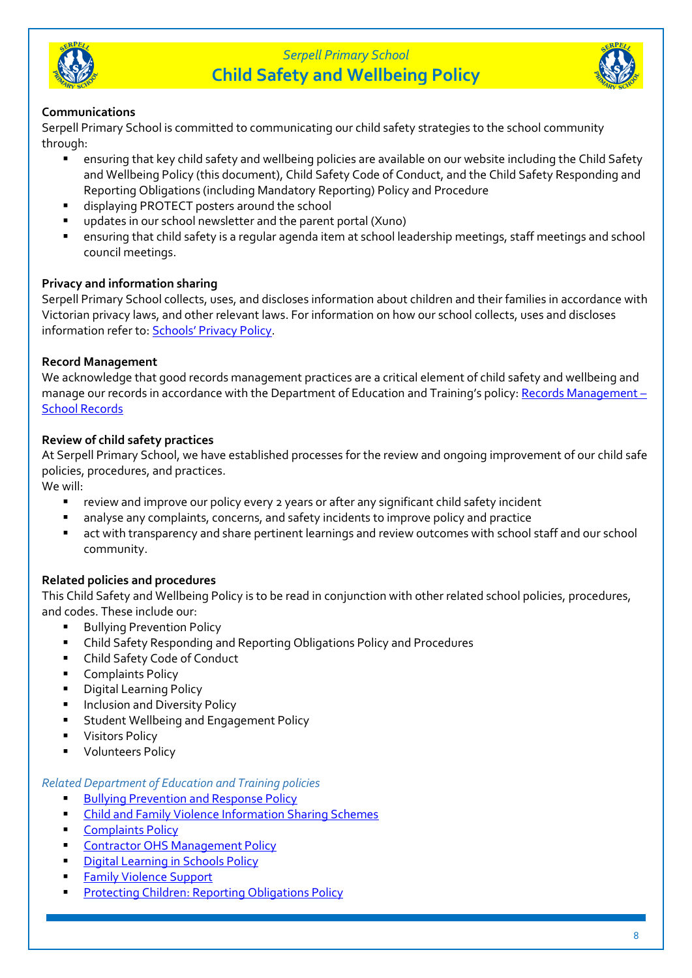



### **Communications**

Serpell Primary School is committed to communicating our child safety strategies to the school community through:

- ensuring that key child safety and wellbeing policies are available on our website including the Child Safety and Wellbeing Policy (this document), Child Safety Code of Conduct, and the Child Safety Responding and Reporting Obligations (including Mandatory Reporting) Policy and Procedure
- displaying PROTECT posters around the school
- updates in our school newsletter and the parent portal (Xuno)
- ensuring that child safety is a regular agenda item at school leadership meetings, staff meetings and school council meetings.

### **Privacy and information sharing**

Serpell Primary School collects, uses, and discloses information about children and their families in accordance with Victorian privacy laws, and other relevant laws. For information on how our school collects, uses and discloses information refer to: **[Schools' Privacy Policy](https://www.education.vic.gov.au/Pages/schoolsprivacypolicy.aspx)**.

### **Record Management**

We acknowledge that good records management practices are a critical element of child safety and wellbeing and manage our records in accordance with the Department of Education and Training's policy: [Records Management](https://www2.education.vic.gov.au/pal/records-management/policy) – [School Records](https://www2.education.vic.gov.au/pal/records-management/policy)

### **Review of child safety practices**

At Serpell Primary School, we have established processes for the review and ongoing improvement of our child safe policies, procedures, and practices.

We will:

- review and improve our policy every 2 years or after any significant child safety incident
- analyse any complaints, concerns, and safety incidents to improve policy and practice
- act with transparency and share pertinent learnings and review outcomes with school staff and our school community.

### **Related policies and procedures**

This Child Safety and Wellbeing Policy is to be read in conjunction with other related school policies, procedures, and codes. These include our:

- **Bullying Prevention Policy**
- Child Safety Responding and Reporting Obligations Policy and Procedures
- Child Safety Code of Conduct
- Complaints Policy
- Digital Learning Policy
- **Inclusion and Diversity Policy**
- Student Wellbeing and Engagement Policy
- Visitors Policy
- Volunteers Policy

#### *Related Department of Education and Training policies*

- **[Bullying Prevention and Response Policy](https://www2.education.vic.gov.au/pal/bullying-prevention-response/policy)**
- [Child and Family Violence Information Sharing Schemes](https://www2.education.vic.gov.au/pal/information-sharing-schemes/policy)
- [Complaints Policy](https://www2.education.vic.gov.au/pal/complaints/policy)
- **[Contractor OHS Management Policy](https://www2.education.vic.gov.au/pal/contractor-ohs-management/policy)**
- **[Digital Learning in Schools Policy](https://www2.education.vic.gov.au/pal/digital-learning/policy)**
- **Family Violence Support**
- [Protecting Children: Reporting Obligations Policy](https://www2.education.vic.gov.au/pal/protecting-children/policy)